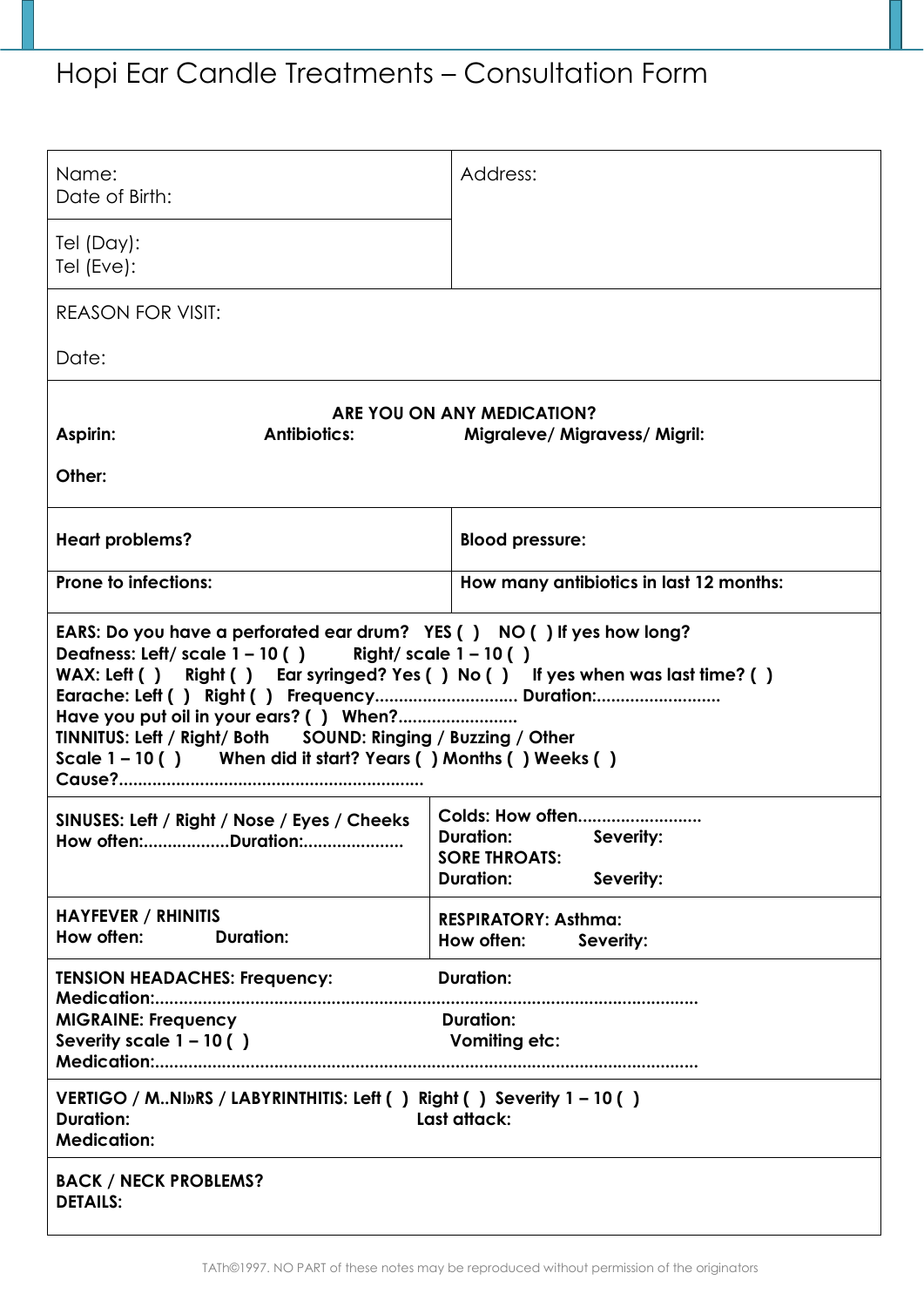## Hopi Ear Candle Treatments – Consultation Form

| Name:<br>Date of Birth:                                                                                                                                                                                                                                                                                                                                                                                  | Address:                                                                                                       |  |  |  |  |  |  |
|----------------------------------------------------------------------------------------------------------------------------------------------------------------------------------------------------------------------------------------------------------------------------------------------------------------------------------------------------------------------------------------------------------|----------------------------------------------------------------------------------------------------------------|--|--|--|--|--|--|
| Tel (Day):<br>Tel (Eve):                                                                                                                                                                                                                                                                                                                                                                                 |                                                                                                                |  |  |  |  |  |  |
| <b>REASON FOR VISIT:</b>                                                                                                                                                                                                                                                                                                                                                                                 |                                                                                                                |  |  |  |  |  |  |
| Date:                                                                                                                                                                                                                                                                                                                                                                                                    |                                                                                                                |  |  |  |  |  |  |
| ARE YOU ON ANY MEDICATION?<br>Aspirin:<br><b>Antibiotics:</b><br><b>Migraleve/ Migravess/ Migril:</b><br>Other:                                                                                                                                                                                                                                                                                          |                                                                                                                |  |  |  |  |  |  |
| <b>Heart problems?</b>                                                                                                                                                                                                                                                                                                                                                                                   | <b>Blood pressure:</b>                                                                                         |  |  |  |  |  |  |
| <b>Prone to infections:</b>                                                                                                                                                                                                                                                                                                                                                                              | How many antibiotics in last 12 months:                                                                        |  |  |  |  |  |  |
| EARS: Do you have a perforated ear drum? YES () NO () If yes how long?<br>Deafness: Left/ scale $1 - 10( )$ Right/ scale $1 - 10( )$<br>WAX: Left () Right () Ear syringed? Yes () No () If yes when was last time? ()<br>Earache: Left () Right () Frequency Duration:<br>TINNITUS: Left / Right/ Both SOUND: Ringing / Buzzing / Other<br>Scale 1-10 () When did it start? Years () Months () Weeks () |                                                                                                                |  |  |  |  |  |  |
| SINUSES: Left / Right / Nose / Eyes / Cheeks<br>How often:Duration:                                                                                                                                                                                                                                                                                                                                      | <b>Colds: How often</b><br><b>Duration:</b> Severity:<br><b>SORE THROATS:</b><br><b>Duration:</b><br>Severity: |  |  |  |  |  |  |
| <b>HAYFEVER / RHINITIS</b><br>How often:<br><b>Duration:</b>                                                                                                                                                                                                                                                                                                                                             | <b>RESPIRATORY: Asthma:</b><br>How often:<br>Severity:                                                         |  |  |  |  |  |  |
| <b>TENSION HEADACHES: Frequency:</b>                                                                                                                                                                                                                                                                                                                                                                     | <b>Duration:</b>                                                                                               |  |  |  |  |  |  |
| <b>MIGRAINE: Frequency</b><br>Severity scale $1 - 10$ ()                                                                                                                                                                                                                                                                                                                                                 | <b>Duration:</b><br>Vomiting etc:                                                                              |  |  |  |  |  |  |
| VERTIGO / M. NI»RS / LABYRINTHITIS: Left () Right () Severity 1-10 ()<br>Last attack:<br><b>Duration:</b><br><b>Medication:</b>                                                                                                                                                                                                                                                                          |                                                                                                                |  |  |  |  |  |  |
| <b>BACK / NECK PROBLEMS?</b><br><b>DETAILS:</b>                                                                                                                                                                                                                                                                                                                                                          |                                                                                                                |  |  |  |  |  |  |